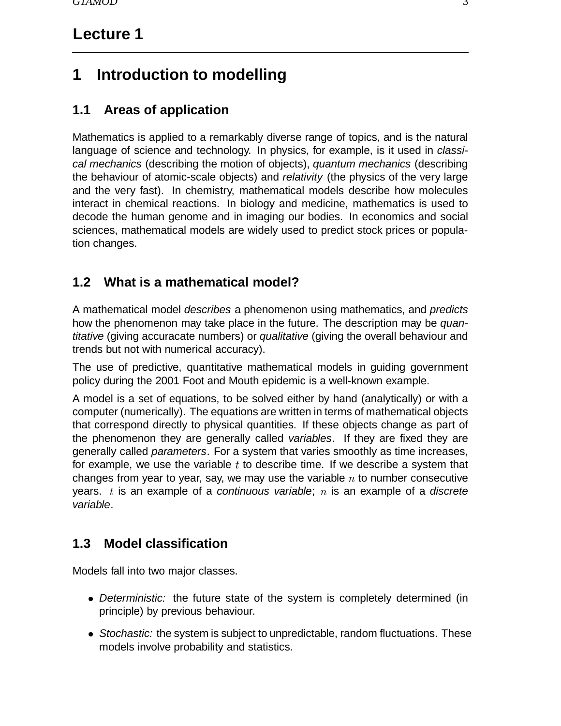# **Lecture 1**

# **1 Introduction to modelling**

## **1.1 Areas of application**

Mathematics is applied to a remarkably diverse range of topics, and is the natural language of science and technology. In physics, for example, is it used in classical mechanics (describing the motion of objects), quantum mechanics (describing the behaviour of atomic-scale objects) and relativity (the physics of the very large and the very fast). In chemistry, mathematical models describe how molecules interact in chemical reactions. In biology and medicine, mathematics is used to decode the human genome and in imaging our bodies. In economics and social sciences, mathematical models are widely used to predict stock prices or population changes.

### **1.2 What is a mathematical model?**

A mathematical model describes a phenomenon using mathematics, and predicts how the phenomenon may take place in the future. The description may be *quan*titative (giving accuracate numbers) or qualitative (giving the overall behaviour and trends but not with numerical accuracy).

The use of predictive, quantitative mathematical models in guiding government policy during the 2001 Foot and Mouth epidemic is a well-known example.

A model is a set of equations, to be solved either by hand (analytically) or with a computer (numerically). The equations are written in terms of mathematical objects that correspond directly to physical quantities. If these objects change as part of the phenomenon they are generally called variables. If they are fixed they are generally called parameters. For a system that varies smoothly as time increases, for example, we use the variable  $t$  to describe time. If we describe a system that changes from year to year, say, we may use the variable  $n$  to number consecutive years. t is an example of a continuous variable; n is an example of a discrete variable.

### **1.3 Model classification**

Models fall into two major classes.

- Deterministic: the future state of the system is completely determined (in principle) by previous behaviour.
- Stochastic: the system is subject to unpredictable, random fluctuations. These models involve probability and statistics.